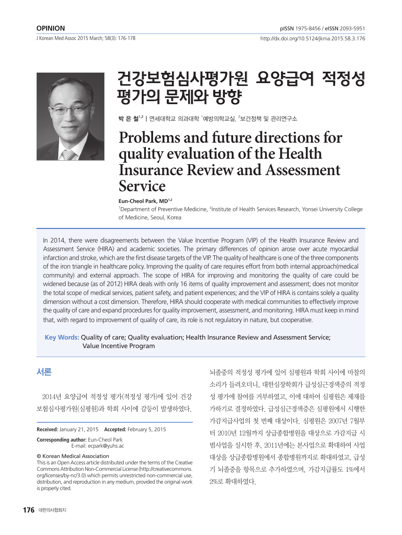http://dx.doi.org/10.5124/jkma.2015.58.3.176



# 건강보험심사평가원 요양급여 적정성 평가의 문제와 방향

**박 은 철** $^{1,2}$  **|** 연세대학교 의과대학  $^{1}$ 예방의학교실,  $^{2}$ 보건정책 및 관리연구소

# **Problems and future directions for quality evaluation of the Health Insurance Review and Assessment Service**

#### **Eun-Cheol Park, MD1,2**

<sup>1</sup>Department of Preventive Medicine, <sup>2</sup>Institute of Health Services Research, Yonsei University College of Medicine, Seoul, Korea

In 2014, there were disagreements between the Value Incentive Program (VIP) of the Health Insurance Review and Assessment Service (HIRA) and academic societies. The primary differences of opinion arose over acute myocardial infarction and stroke, which are the first disease targets of the VIP. The quality of healthcare is one of the three components of the iron triangle in healthcare policy. Improving the quality of care requires effort from both internal approach(medical community) and external approach. The scope of HIRA for improving and monitoring the quality of care could be widened because (as of 2012) HIRA deals with only 16 items of quality improvement and assessment; does not monitor the total scope of medical services, patient safety, and patient experiences; and the VIP of HIRA is contains solely a quality dimension without a cost dimension. Therefore, HIRA should cooperate with medical communities to effectively improve the quality of care and expand procedures for quality improvement, assessment, and monitoring. HIRA must keep in mind that, with regard to improvement of quality of care, its role is not regulatory in nature, but cooperative.

## **Key words:** Quality of care; Quality evaluation; Health Insurance Review and Assessment Service; Value Incentive Program

# 서론

2014년 요양급여 적정성 평가(적정성 평가)에 있어 건강 보험심사평가원(심평원)과 학회 사이에 갈등이 발생하였다.

**Received:** January 21, 2015 **Accepted:** February 5, 2015

**Corresponding author:** Eun-Cheol Park E-mail: ecpark@yuhs.ac

### © Korean Medical Association

This is an Open Access article distributed under the terms of the Creative Commons Attribution Non-Commercial License (http://creativecommons. org/licenses/by-nc/3.0) which permits unrestricted non-commercial use, distribution, and reproduction in any medium, provided the original work is properly cited.

뇌졸중의 적정성 평가에 있어 심평원과 학회 사이에 마찰의 소리가 들려오더니, 대한심장학회가 급성심근경색증의 적정 성 평가에 참여를 거부하였고, 이에 대하여 심평원은 제재를 가하기로 결정하였다. 급성심근경색증은 심평원에서 시행한 가감지급사업의 첫 번째 대상이다. 심평원은 2007년 7월부 터 2010년 12월까지 상급종합병원을 대상으로 가감지급 시 범사업을 실시한 후, 2011년에는 본사업으로 확대하여 사업 대상을 상급종합병원에서 종합병원까지로 확대하였고, 급성 기 뇌졸중을 항목으로 추가하였으며, 가감지급률도 1%에서 2%로 확대하였다.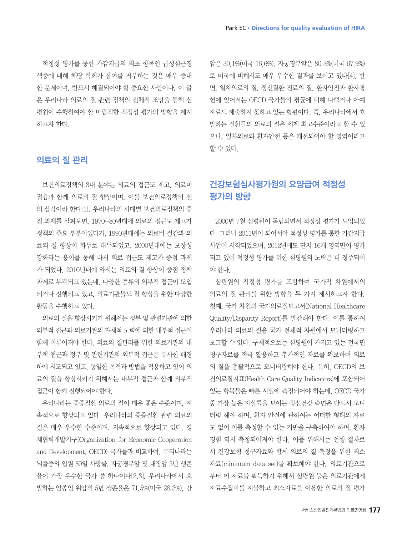적정성 평가를 통한 가감지급의 최초 항목인 급성심근경 색증에 대해 해당 학회가 참여를 거부하는 것은 매우 중대 한 문제이며, 반드시 해결되어야 할 중요한 사안이다. 이 글 은 우리나라 의료의 질 관련 정책의 전체적 조망을 통해 심 평원이 수행하여야 할 바람직한 적정성 평가의 방향을 제시 하고자 한다.

## 의료의 질 관리

보건의료정책의 3대 분야는 의료의 접근도 제고, 의료비 절감과 함께 의료의 질 향상이며, 이를 보건의료정책의 철 의 삼각이라 한다[1]. 우리나라의 시대별 보건의료정책의 중 점 과제를 살펴보면, 1970-80년대에 의료의 접근도 제고가 정책의 주요 부분이었다가, 1990년대에는 의료비 절감과 의 료의 질 향상이 화두로 대두되었고, 2000년대에는 보장성 강화라는 용어를 통해 다시 의료 접근도 제고가 중점 과제 가 되었다. 2010년대에 와서는 의료의 질 향상이 중점 정책 과제로 부각되고 있는데, 다양한 종류의 외부적 접근이 도입 되거나 진행되고 있고, 의료기관들도 질 향상을 위한 다양한 활동을 수행하고 있다.

의료의 질을 향상시키기 위해서는 정부 및 관련기관에 의한 외부적 접근과 의료기관의 자체적 노력에 의한 내부적 접근이 함께 이루어져야 한다. 의료의 질관리를 위한 의료기관의 내 부적 접근과 정부 및 관련기관의 외부적 접근은 유사한 배경 하에 시도되고 있고, 동일한 목적과 방법을 적용하고 있어 의 료의 질을 향상시키기 위해서는 내부적 접근과 함께 외부적 접근이 함께 진행되어야 한다.

우리나라는 중증질환 의료의 질이 매우 좋은 수준이며, 지 속적으로 향상되고 있다. 우리나라의 중증질환 관련 의료의 질은 매우 우수한 수준이며, 지속적으로 향상되고 있다. 경 제협력개발기구(Organization for Economic Cooperation and Development, OECD) 국가들과 비교하여, 우리나라는 뇌졸중의 입원 30일 사망률, 자궁경부암 및 대장암 5년 생존 율이 가장 우수한 국가 중 하나이다[2,3]. 우리나라에서 호 발하는 암종인 위암의 5년 생존율은 71.5%(미국 28.3%), 간 암은 30.1%(미국 16.6%), 자궁경부암은 80.3%(미국 67.9%) 로 미국에 비해서도 매우 우수한 결과를 보이고 있다[4]. 반 면, 일차의료의 질, 정신질환 진료의 질, 환자안전과 환자경 험에 있어서는 OECD 국가들의 평균에 비해 나쁘거나 아예 자료도 제출하지 못하고 있는 형편이다. 즉, 우리나라에서 호 발하는 질환들의 의료의 질은 세계 최고수준이라고 할 수 있 으나, 일차의료와 환자안전 등은 개선되어야 할 영역이라고 할 수 있다.

## 건강보험심사평가원의 요양급여 적정성 평가의 방향

2000년 7월 심평원이 독립되면서 적정성 평가가 도입되었 다. 그러나 2011년이 되어서야 적정성 평가를 통한 가감지급 사업이 시작되었으며, 2012년에도 단지 16개 영역만이 평가 되고 있어 적정성 평가를 위한 심평원의 노력은 더 경주되어 야 한다.

심평원의 적정성 평가를 포함하여 국가적 차원에서의 의료의 질 관리를 위한 방향을 두 가지 제시하고자 한다. 첫째, 국가 차원의 국가의료질보고서(National Healthcare Quality/Disparity Report)를 발간해야 한다. 이를 통하여 우리나라 의료의 질을 국가 전체적 차원에서 모니터링하고 보고할 수 있다. 구체적으로는 심평원이 가지고 있는 전국민 청구자료를 적극 활용하고 추가적인 자료를 확보하여 의료 의 질을 총괄적으로 모니터링해야 한다. 특히, OECD의 보 건의료질지표(Health Care Quality Indicators)에 포함되어 있는 항목들은 빠른 시일에 측정되어야 하는데, OECD 국가 중 가장 높은 자살률을 보이는 정신건강 측면은 반드시 모니 터링 해야 하며, 환자 안전에 관하여는 어떠한 형태의 자료 도 없어 이를 측정할 수 있는 기반을 구축하여야 하며, 환자 경험 역시 측정되어져야 한다. 이를 위해서는 선행 절차로 서 건강보험 청구자료와 함께 의료의 질 측정을 위한 최소 자료(minimum data set)를 확보해야 한다. 의료기관으로 부터 이 자료를 획득하기 위해서 심평원 등은 의료기관에게 자료수집비를 지불하고 최소자료를 이용한 의료의 질 평가